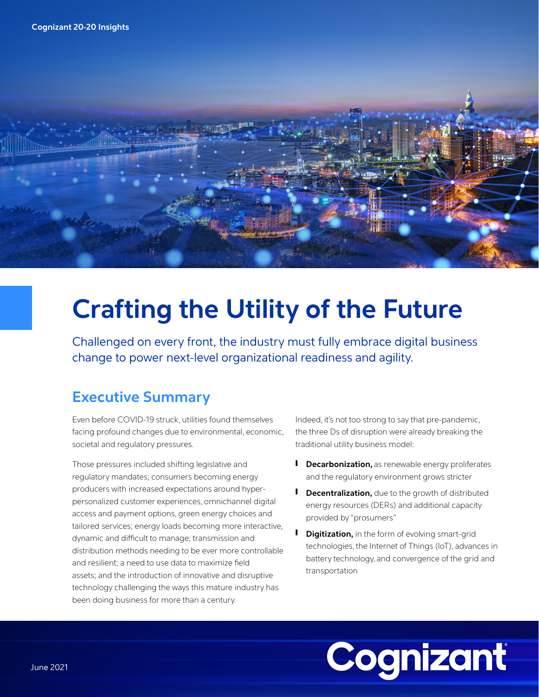

## **Crafting the Utility of the Future**

Challenged on every front, the industry must fully embrace digital business change to power next-level organizational readiness and agility.

## **Executive Summary**

Even before COVID-19 struck, utilities found themselves facing profound changes due to environmental, economic, societal and regulatory pressures.

Those pressures included shifting legislative and regulatory mandates; consumers becoming energy producers with increased expectations around hyperpersonalized customer experiences, omnichannel digital access and payment options, green energy choices and tailored services; energy loads becoming more interactive, dynamic and difficult to manage; transmission and distribution methods needing to be ever more controllable and resilient; a need to use data to maximize field assets; and the introduction of innovative and disruptive technology challenging the ways this mature industry has been doing business for more than a century.

Indeed, it's not too strong to say that pre-pandemic, the three Ds of disruption were already breaking the traditional utility business model:

- **I** Decarbonization, as renewable energy proliferates and the regulatory environment grows stricter
- **I** Decentralization, due to the growth of distributed energy resources (DERs) and additional capacity provided by "prosumers"
- **I** Digitization, in the form of evolving smart-grid technologies, the Internet of Things (IoT), advances in battery technology, and convergence of the grid and transportation

# Cognizant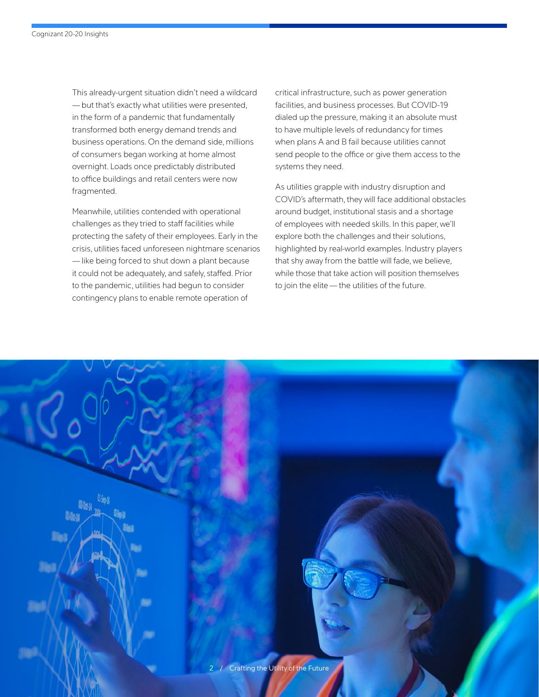This already-urgent situation didn't need a wildcard — but that's exactly what utilities were presented, in the form of a pandemic that fundamentally transformed both energy demand trends and business operations. On the demand side, millions of consumers began working at home almost overnight. Loads once predictably distributed to office buildings and retail centers were now fragmented.

Meanwhile, utilities contended with operational challenges as they tried to staff facilities while protecting the safety of their employees. Early in the crisis, utilities faced unforeseen nightmare scenarios — like being forced to shut down a plant because it could not be adequately, and safely, staffed. Prior to the pandemic, utilities had begun to consider contingency plans to enable remote operation of

critical infrastructure, such as power generation facilities, and business processes. But COVID-19 dialed up the pressure, making it an absolute must to have multiple levels of redundancy for times when plans A and B fail because utilities cannot send people to the office or give them access to the systems they need.

As utilities grapple with industry disruption and COVID's aftermath, they will face additional obstacles around budget, institutional stasis and a shortage of employees with needed skills. In this paper, we'll explore both the challenges and their solutions, highlighted by real-world examples. Industry players that shy away from the battle will fade, we believe, while those that take action will position themselves to join the elite — the utilities of the future.

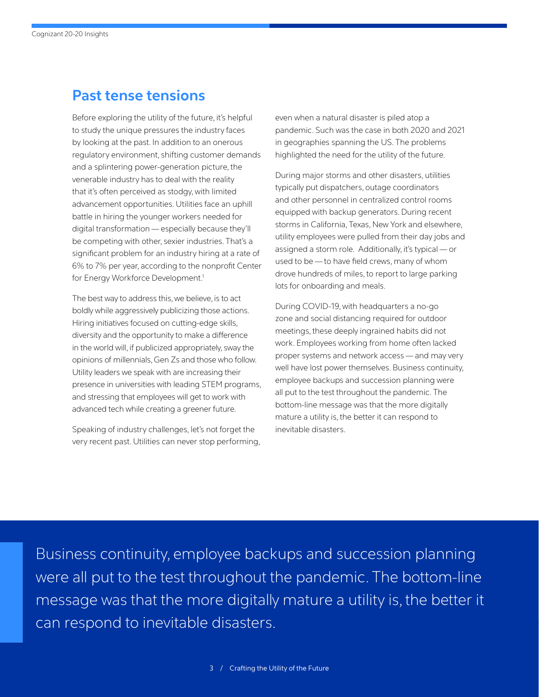## **Past tense tensions**

Before exploring the utility of the future, it's helpful to study the unique pressures the industry faces by looking at the past. In addition to an onerous regulatory environment, shifting customer demands and a splintering power-generation picture, the venerable industry has to deal with the reality that it's often perceived as stodgy, with limited advancement opportunities. Utilities face an uphill battle in hiring the younger workers needed for digital transformation — especially because they'll be competing with other, sexier industries. That's a significant problem for an industry hiring at a rate of 6% to 7% per year, according to the nonprofit Center for Energy Workforce Development.<sup>1</sup>

The best way to address this, we believe, is to act boldly while aggressively publicizing those actions. Hiring initiatives focused on cutting-edge skills, diversity and the opportunity to make a difference in the world will, if publicized appropriately, sway the opinions of millennials, Gen Zs and those who follow. Utility leaders we speak with are increasing their presence in universities with leading STEM programs, and stressing that employees will get to work with advanced tech while creating a greener future.

Speaking of industry challenges, let's not forget the very recent past. Utilities can never stop performing, even when a natural disaster is piled atop a pandemic. Such was the case in both 2020 and 2021 in geographies spanning the US. The problems highlighted the need for the utility of the future.

During major storms and other disasters, utilities typically put dispatchers, outage coordinators and other personnel in centralized control rooms equipped with backup generators. During recent storms in California, Texas, New York and elsewhere, utility employees were pulled from their day jobs and assigned a storm role. Additionally, it's typical — or used to be — to have field crews, many of whom drove hundreds of miles, to report to large parking lots for onboarding and meals.

During COVID-19, with headquarters a no-go zone and social distancing required for outdoor meetings, these deeply ingrained habits did not work. Employees working from home often lacked proper systems and network access — and may very well have lost power themselves. Business continuity, employee backups and succession planning were all put to the test throughout the pandemic. The bottom-line message was that the more digitally mature a utility is, the better it can respond to inevitable disasters.

Business continuity, employee backups and succession planning were all put to the test throughout the pandemic. The bottom-line message was that the more digitally mature a utility is, the better it can respond to inevitable disasters.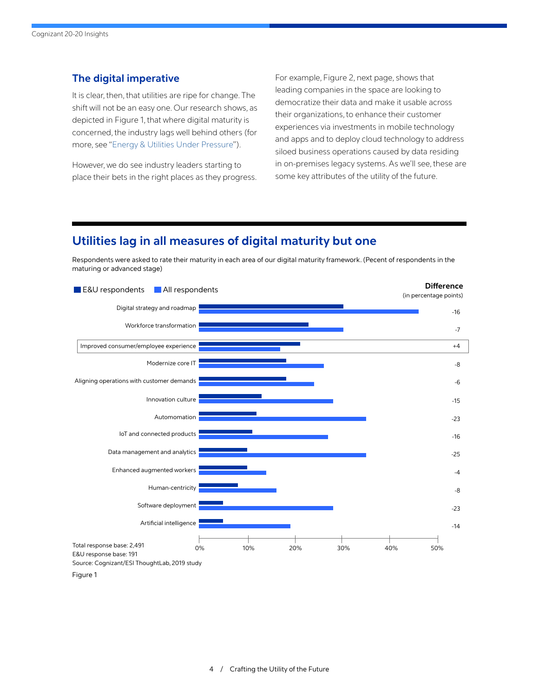#### **The digital imperative**

It is clear, then, that utilities are ripe for change. The shift will not be an easy one. Our research shows, as depicted in Figure 1, that where digital maturity is concerned, the industry lags well behind others (for more, see "[Energy & Utilities Under Pressure"](https://www.cognizant.com/whitepapers/energy-and-utilities-under-pressure-codex5326.pdf)).

However, we do see industry leaders starting to place their bets in the right places as they progress. For example, Figure 2, next page, shows that leading companies in the space are looking to democratize their data and make it usable across their organizations, to enhance their customer experiences via investments in mobile technology and apps and to deploy cloud technology to address siloed business operations caused by data residing in on-premises legacy systems. As we'll see, these are some key attributes of the utility of the future.

### **Utilities lag in all measures of digital maturity but one**

Respondents were asked to rate their maturity in each area of our digital maturity framework. (Pecent of respondents in the maturing or advanced stage)

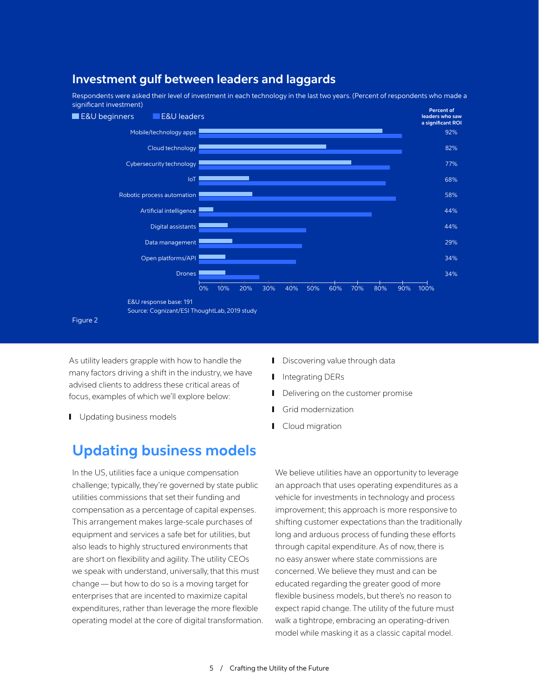

**Investment gulf between leaders and laggards**

As utility leaders grapple with how to handle the many factors driving a shift in the industry, we have advised clients to address these critical areas of focus, examples of which we'll explore below:

**I** Updating business models

## **Updating business models**

In the US, utilities face a unique compensation challenge; typically, they're governed by state public utilities commissions that set their funding and compensation as a percentage of capital expenses. This arrangement makes large-scale purchases of equipment and services a safe bet for utilities, but also leads to highly structured environments that are short on flexibility and agility. The utility CEOs we speak with understand, universally, that this must change — but how to do so is a moving target for enterprises that are incented to maximize capital expenditures, rather than leverage the more flexible operating model at the core of digital transformation.

- **I** Discovering value through data
- Integrating DERs
- Delivering on the customer promise
- Grid modernization
- Cloud migration

We believe utilities have an opportunity to leverage an approach that uses operating expenditures as a vehicle for investments in technology and process improvement; this approach is more responsive to shifting customer expectations than the traditionally long and arduous process of funding these efforts through capital expenditure. As of now, there is no easy answer where state commissions are concerned. We believe they must and can be educated regarding the greater good of more flexible business models, but there's no reason to expect rapid change. The utility of the future must walk a tightrope, embracing an operating-driven model while masking it as a classic capital model.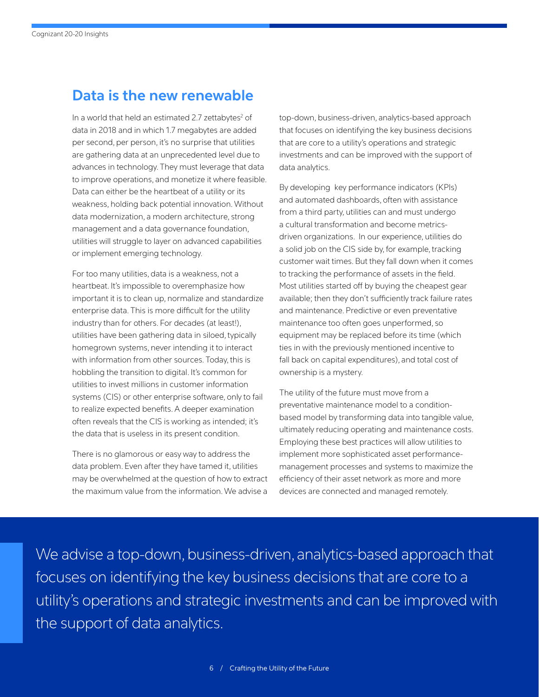## **Data is the new renewable**

In a world that held an estimated 2.7 zettabytes<sup>2</sup> of data in 2018 and in which 1.7 megabytes are added per second, per person, it's no surprise that utilities are gathering data at an unprecedented level due to advances in technology. They must leverage that data to improve operations, and monetize it where feasible. Data can either be the heartbeat of a utility or its weakness, holding back potential innovation. Without data modernization, a modern architecture, strong management and a data governance foundation, utilities will struggle to layer on advanced capabilities or implement emerging technology.

For too many utilities, data is a weakness, not a heartbeat. It's impossible to overemphasize how important it is to clean up, normalize and standardize enterprise data. This is more difficult for the utility industry than for others. For decades (at least!), utilities have been gathering data in siloed, typically homegrown systems, never intending it to interact with information from other sources. Today, this is hobbling the transition to digital. It's common for utilities to invest millions in customer information systems (CIS) or other enterprise software, only to fail to realize expected benefits. A deeper examination often reveals that the CIS is working as intended; it's the data that is useless in its present condition.

There is no glamorous or easy way to address the data problem. Even after they have tamed it, utilities may be overwhelmed at the question of how to extract the maximum value from the information. We advise a

top-down, business-driven, analytics-based approach that focuses on identifying the key business decisions that are core to a utility's operations and strategic investments and can be improved with the support of data analytics.

By developing key performance indicators (KPIs) and automated dashboards, often with assistance from a third party, utilities can and must undergo a cultural transformation and become metricsdriven organizations. In our experience, utilities do a solid job on the CIS side by, for example, tracking customer wait times. But they fall down when it comes to tracking the performance of assets in the field. Most utilities started off by buying the cheapest gear available; then they don't sufficiently track failure rates and maintenance. Predictive or even preventative maintenance too often goes unperformed, so equipment may be replaced before its time (which ties in with the previously mentioned incentive to fall back on capital expenditures), and total cost of ownership is a mystery.

The utility of the future must move from a preventative maintenance model to a conditionbased model by transforming data into tangible value, ultimately reducing operating and maintenance costs. Employing these best practices will allow utilities to implement more sophisticated asset performancemanagement processes and systems to maximize the efficiency of their asset network as more and more devices are connected and managed remotely.

We advise a top-down, business-driven, analytics-based approach that focuses on identifying the key business decisions that are core to a utility's operations and strategic investments and can be improved with the support of data analytics.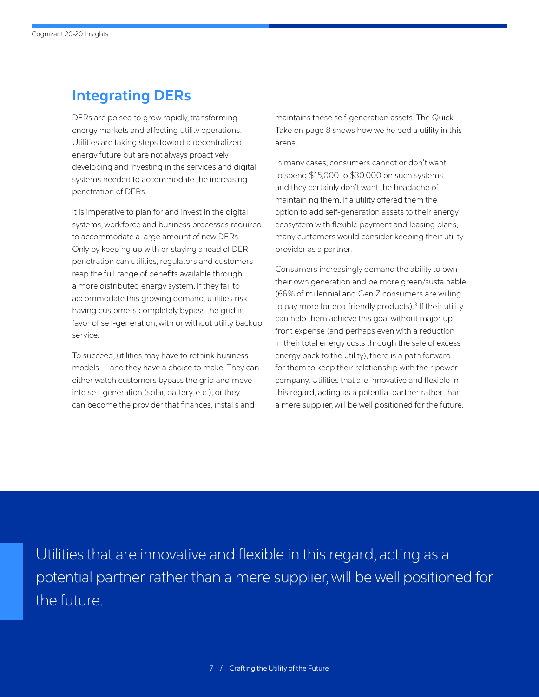## **Integrating DERs**

DERs are poised to grow rapidly, transforming energy markets and affecting utility operations. Utilities are taking steps toward a decentralized energy future but are not always proactively developing and investing in the services and digital systems needed to accommodate the increasing penetration of DERs.

It is imperative to plan for and invest in the digital systems, workforce and business processes required to accommodate a large amount of new DERs. Only by keeping up with or staying ahead of DER penetration can utilities, regulators and customers reap the full range of benefits available through a more distributed energy system. If they fail to accommodate this growing demand, utilities risk having customers completely bypass the grid in favor of self-generation, with or without utility backup service.

To succeed, utilities may have to rethink business models — and they have a choice to make. They can either watch customers bypass the grid and move into self-generation (solar, battery, etc.), or they can become the provider that finances, installs and

maintains these self-generation assets. The Quick Take on page 8 shows how we helped a utility in this arena.

In many cases, consumers cannot or don't want to spend \$15,000 to \$30,000 on such systems, and they certainly don't want the headache of maintaining them. If a utility offered them the option to add self-generation assets to their energy ecosystem with flexible payment and leasing plans, many customers would consider keeping their utility provider as a partner.

Consumers increasingly demand the ability to own their own generation and be more green/sustainable (66% of millennial and Gen Z consumers are willing to pay more for eco-friendly products).<sup>3</sup> If their utility can help them achieve this goal without major upfront expense (and perhaps even with a reduction in their total energy costs through the sale of excess energy back to the utility), there is a path forward for them to keep their relationship with their power company. Utilities that are innovative and flexible in this regard, acting as a potential partner rather than a mere supplier, will be well positioned for the future.

Utilities that are innovative and flexible in this regard, acting as a potential partner rather than a mere supplier, will be well positioned for the future.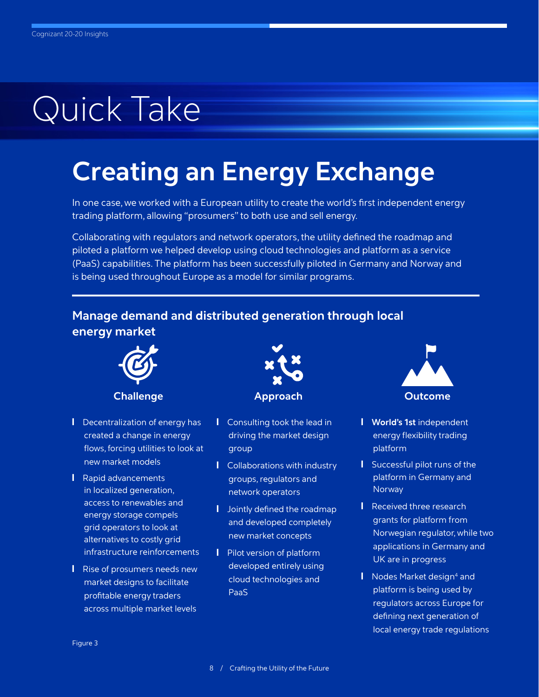# Quick Take

## **Creating an Energy Exchange**

In one case, we worked with a European utility to create the world's first independent energy trading platform, allowing "prosumers" to both use and sell energy.

Collaborating with regulators and network operators, the utility defined the roadmap and piloted a platform we helped develop using cloud technologies and platform as a service (PaaS) capabilities. The platform has been successfully piloted in Germany and Norway and is being used throughout Europe as a model for similar programs.

### **Manage demand and distributed generation through local energy market**



#### **Challenge**

- **I** Decentralization of energy has created a change in energy flows, forcing utilities to look at new market models
- **I** Rapid advancements in localized generation, access to renewables and energy storage compels grid operators to look at alternatives to costly grid infrastructure reinforcements
- **Ⅰ** Rise of prosumers needs new market designs to facilitate profitable energy traders across multiple market levels



- **I** Consulting took the lead in driving the market design group
- **I** Collaborations with industry groups, regulators and network operators
- **I** Jointly defined the roadmap and developed completely new market concepts
- **I** Pilot version of platform developed entirely using cloud technologies and PaaS



- ❙ **World's 1st** independent energy flexibility trading platform
- **I** Successful pilot runs of the platform in Germany and **Norway**
- **I** Received three research grants for platform from Norwegian regulator, while two applications in Germany and UK are in progress
- **I** Nodes Market design<sup>4</sup> and platform is being used by regulators across Europe for defining next generation of local energy trade regulations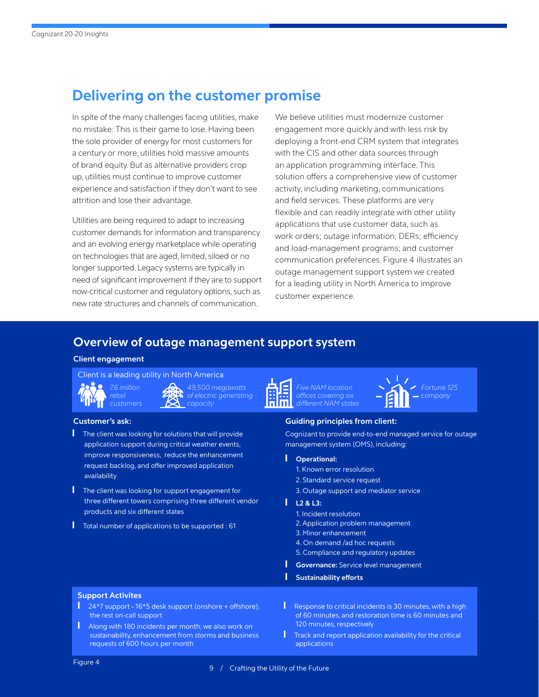## **Delivering on the customer promise**

In spite of the many challenges facing utilities, make no mistake: This is their game to lose. Having been the sole provider of energy for most customers for a century or more, utilities hold massive amounts of brand equity. But as alternative providers crop up, utilities must continue to improve customer experience and satisfaction if they don't want to see attrition and lose their advantage.

Utilities are being required to adapt to increasing customer demands for information and transparency and an evolving energy marketplace while operating on technologies that are aged, limited, siloed or no longer supported. Legacy systems are typically in need of significant improvement if they are to support now-critical customer and regulatory options, such as new rate structures and channels of communication.

We believe utilities must modernize customer engagement more quickly and with less risk by deploying a front-end CRM system that integrates with the CIS and other data sources through an application programming interface. This solution offers a comprehensive view of customer activity, including marketing, communications and field services. These platforms are very flexible and can readily integrate with other utility applications that use customer data, such as work orders; outage information; DERs; efficiency and load-management programs; and customer communication preferences. Figure 4 illustrates an outage management support system we created for a leading utility in North America to improve customer experience.

### **Overview of outage management support system**

#### **Client engagement**

Client is a leading utility in North America



*49,500 megawatts of electric generating capacity*

- The client was looking for solutions that will provide application support during critical weather events, improve responsiveness, reduce the enhancement request backlog, and offer improved application availability
- The client was looking for support engagement for three different towers comprising three different vendor products and six different states
- Total number of applications to be supported : 61



*Five NAM location offices covering six different NAM states*



#### **Customer's ask: Guiding principles from client:**

Cognizant to provide end-to-end managed service for outage management system (OMS), including:

- ❙ **Operational:**
	- 1. Known error resolution
	- 2. Standard service request
	- 3. Outage support and mediator service

#### ❙ **L2 & L3:**

- 1. Incident resolution
- 2. Application problem management
- 3. Minor enhancement
- 4. On demand /ad hoc requests
- 5. Compliance and regulatory updates
- ❙ **Governance:** Service level management
- ❙ **Sustainability efforts**

#### **Support Activites**

- 24\*7 support 16\*5 desk support (onshore + offshore), the rest on-call support
- **I** Along with 180 incidents per month, we also work on sustainability, enhancement from storms and business requests of 600 hours per month
- Response to critical incidents is 30 minutes, with a high of 60 minutes, and restoration time is 60 minutes and 120 minutes, respectively
- **I** Track and report application availability for the critical applications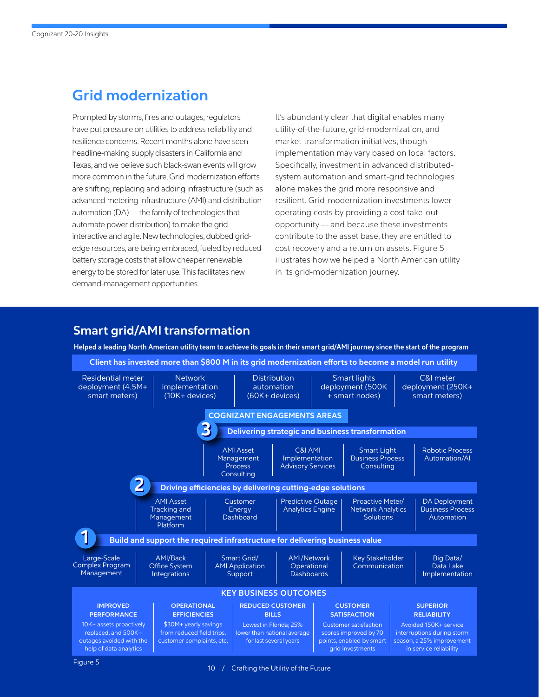## **Grid modernization**

Prompted by storms, fires and outages, regulators have put pressure on utilities to address reliability and resilience concerns. Recent months alone have seen headline-making supply disasters in California and Texas, and we believe such black-swan events will grow more common in the future. Grid modernization efforts are shifting, replacing and adding infrastructure (such as advanced metering infrastructure (AMI) and distribution automation (DA) — the family of technologies that automate power distribution) to make the grid interactive and agile. New technologies, dubbed gridedge resources, are being embraced, fueled by reduced battery storage costs that allow cheaper renewable energy to be stored for later use. This facilitates new demand-management opportunities.

It's abundantly clear that digital enables many utility-of-the-future, grid-modernization, and market-transformation initiatives, though implementation may vary based on local factors. Specifically, investment in advanced distributedsystem automation and smart-grid technologies alone makes the grid more responsive and resilient. Grid-modernization investments lower operating costs by providing a cost take-out opportunity — and because these investments contribute to the asset base, they are entitled to cost recovery and a return on assets. Figure 5 illustrates how we helped a North American utility in its grid-modernization journey.

### **Smart grid/AMI transformation**

**Helped a leading North American utility team to achieve its goals in their smart grid/AMI journey since the start of the program**

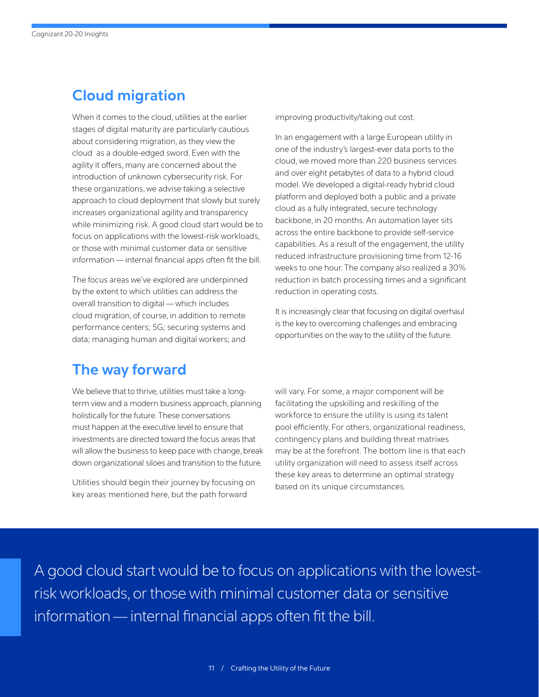## **Cloud migration**

When it comes to the cloud, utilities at the earlier stages of digital maturity are particularly cautious about considering migration, as they view the cloud as a double-edged sword. Even with the agility it offers, many are concerned about the introduction of unknown cybersecurity risk. For these organizations, we advise taking a selective approach to cloud deployment that slowly but surely increases organizational agility and transparency while minimizing risk. A good cloud start would be to focus on applications with the lowest-risk workloads, or those with minimal customer data or sensitive information — internal financial apps often fit the bill.

The focus areas we've explored are underpinned by the extent to which utilities can address the overall transition to digital — which includes cloud migration, of course, in addition to remote performance centers; 5G; securing systems and data; managing human and digital workers; and

improving productivity/taking out cost.

In an engagement with a large European utility in one of the industry's largest-ever data ports to the cloud, we moved more than 220 business services and over eight petabytes of data to a hybrid cloud model. We developed a digital-ready hybrid cloud platform and deployed both a public and a private cloud as a fully integrated, secure technology backbone, in 20 months. An automation layer sits across the entire backbone to provide self-service capabilities. As a result of the engagement, the utility reduced infrastructure provisioning time from 12-16 weeks to one hour. The company also realized a 30% reduction in batch processing times and a significant reduction in operating costs.

It is increasingly clear that focusing on digital overhaul is the key to overcoming challenges and embracing opportunities on the way to the utility of the future.

## **The way forward**

We believe that to thrive, utilities must take a longterm view and a modern business approach, planning holistically for the future. These conversations must happen at the executive level to ensure that investments are directed toward the focus areas that will allow the business to keep pace with change, break down organizational siloes and transition to the future.

Utilities should begin their journey by focusing on key areas mentioned here, but the path forward

will vary. For some, a major component will be facilitating the upskilling and reskilling of the workforce to ensure the utility is using its talent pool efficiently. For others, organizational readiness, contingency plans and building threat matrixes may be at the forefront. The bottom line is that each utility organization will need to assess itself across these key areas to determine an optimal strategy based on its unique circumstances.

A good cloud start would be to focus on applications with the lowestrisk workloads, or those with minimal customer data or sensitive information — internal financial apps often fit the bill.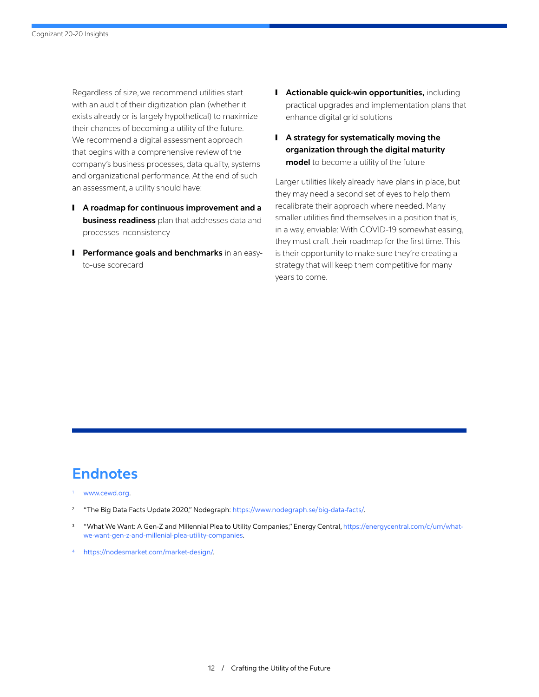Regardless of size, we recommend utilities start with an audit of their digitization plan (whether it exists already or is largely hypothetical) to maximize their chances of becoming a utility of the future. We recommend a digital assessment approach that begins with a comprehensive review of the company's business processes, data quality, systems and organizational performance. At the end of such an assessment, a utility should have:

- ❙ **A roadmap for continuous improvement and a business readiness** plan that addresses data and processes inconsistency
- **I** Performance goals and benchmarks in an easyto-use scorecard
- **I** Actionable quick-win opportunities, including practical upgrades and implementation plans that enhance digital grid solutions
- ❙ **A strategy for systematically moving the organization through the digital maturity model** to become a utility of the future

Larger utilities likely already have plans in place, but they may need a second set of eyes to help them recalibrate their approach where needed. Many smaller utilities find themselves in a position that is, in a way, enviable: With COVID-19 somewhat easing, they must craft their roadmap for the first time. This is their opportunity to make sure they're creating a strategy that will keep them competitive for many years to come.

## **Endnotes**

- [www.cewd.org.](http://www.cewd.org./)
- "The Big Data Facts Update 2020," Nodegraph:<https://www.nodegraph.se/big-data-facts/>.
- <sup>3</sup> "What We Want: A Gen-Z and Millennial Plea to Utility Companies," Energy Central, [https://energycentral.com/c/um/what](https://energycentral.com/c/um/what-we-want-gen-z-and-millenial-plea-utility-companies)[we-want-gen-z-and-millenial-plea-utility-companies](https://energycentral.com/c/um/what-we-want-gen-z-and-millenial-plea-utility-companies).
- <sup>4</sup> [https://nodesmarket.com/market-design/.](https://nodesmarket.com/market-design/)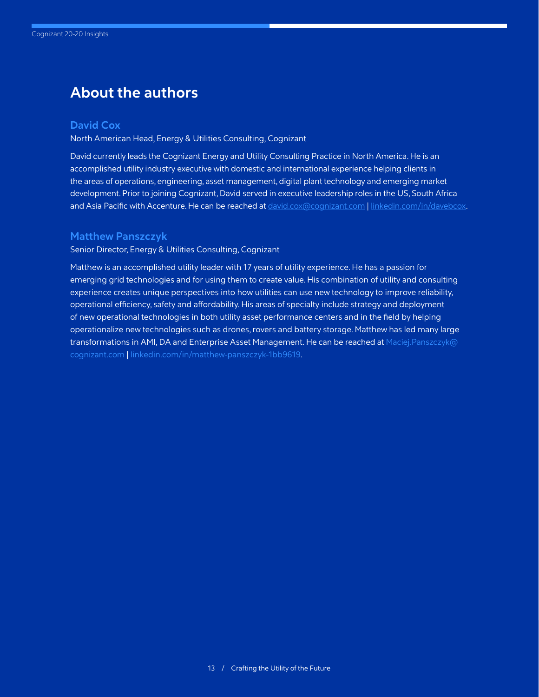## **About the authors**

#### **David Cox**

North American Head, Energy & Utilities Consulting, Cognizant

David currently leads the Cognizant Energy and Utility Consulting Practice in North America. He is an accomplished utility industry executive with domestic and international experience helping clients in the areas of operations, engineering, asset management, digital plant technology and emerging market development. Prior to joining Cognizant, David served in executive leadership roles in the US, South Africa and Asia Pacific with Accenture. He can be reached at [david.cox@cognizant.com](mailto: david.cox@cognizant.com) | [linkedin.com/in/davebcox](https://www.linkedin.com/in/davebcox/).

#### **Matthew Panszczyk**

Senior Director, Energy & Utilities Consulting, Cognizant

Matthew is an accomplished utility leader with 17 years of utility experience. He has a passion for emerging grid technologies and for using them to create value. His combination of utility and consulting experience creates unique perspectives into how utilities can use new technology to improve reliability, operational efficiency, safety and affordability. His areas of specialty include strategy and deployment of new operational technologies in both utility asset performance centers and in the field by helping operationalize new technologies such as drones, rovers and battery storage. Matthew has led many large transformations in AMI, DA and Enterprise Asset Management. He can be reached at [Maciej.Panszczyk@](mailto: Maciej.Panszczyk@cognizant.com) [cognizant.com](mailto: Maciej.Panszczyk@cognizant.com) | [linkedin.com/in/matthew-panszczyk-1bb9619.](https://www.linkedin.com/in/matthew-panszczyk-1bb9619/)